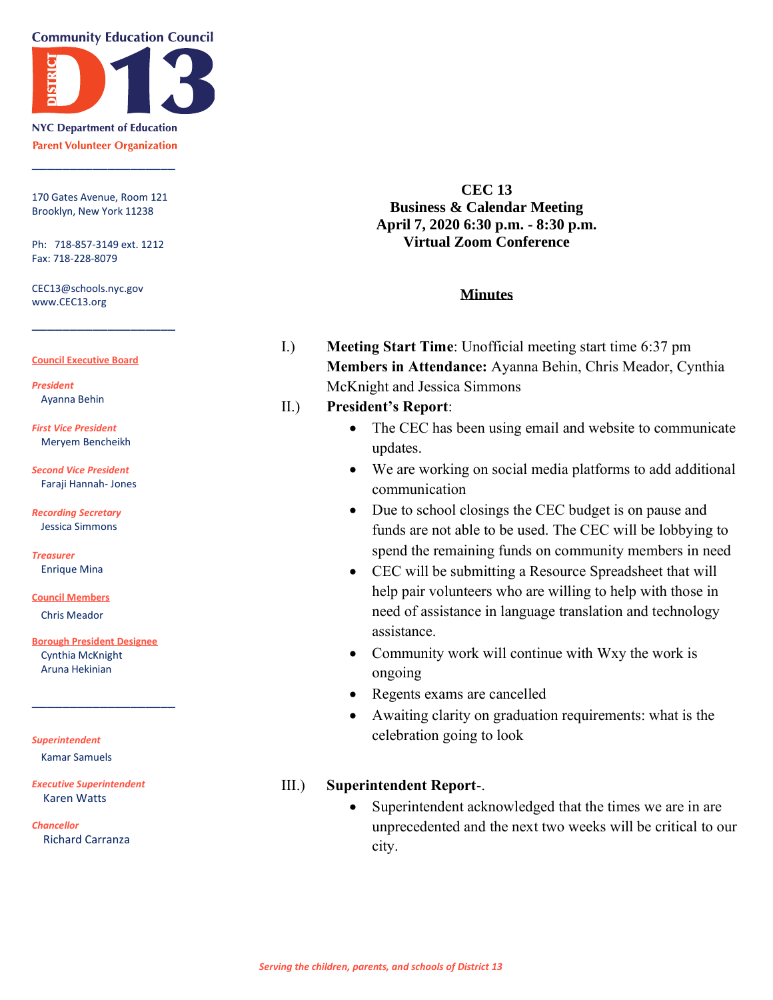**Community Education Council** 



**NYC Department of Education Parent Volunteer Organization** 

\_\_\_\_\_\_\_\_\_\_\_\_\_\_\_\_\_\_\_

170 Gates Avenue, Room 121 Brooklyn, New York 11238

Ph: 718-857-3149 ext. 1212 Fax: 718-228-8079

\_\_\_\_\_\_\_\_\_\_\_\_\_\_\_\_\_\_\_

CEC13@schools.nyc.gov www.CEC13.org

#### **Council Executive Board**

*President* Ayanna Behin

*First Vice President* Meryem Bencheikh

*Second Vice President* Faraji Hannah- Jones

*Recording Secretary* Jessica Simmons

*Treasurer* Enrique Mina

**Council Members** Chris Meador

**Borough President Designee** Cynthia McKnight

\_\_\_\_\_\_\_\_\_\_\_\_\_\_\_\_\_\_\_

Aruna Hekinian

*Superintendent*

Kamar Samuels

*Executive Superintendent* Karen Watts

*Chancellor* Richard Carranza

**CEC 13 Business & Calendar Meeting April 7, 2020 6:30 p.m. - 8:30 p.m. Virtual Zoom Conference**

#### **Minutes**

I.) **Meeting Start Time**: Unofficial meeting start time 6:37 pm **Members in Attendance:** Ayanna Behin, Chris Meador, Cynthia McKnight and Jessica Simmons

### II.) **President's Report**:

- The CEC has been using email and website to communicate updates.
- We are working on social media platforms to add additional communication
- Due to school closings the CEC budget is on pause and funds are not able to be used. The CEC will be lobbying to spend the remaining funds on community members in need
- CEC will be submitting a Resource Spreadsheet that will help pair volunteers who are willing to help with those in need of assistance in language translation and technology assistance.
- Community work will continue with Wxy the work is ongoing
- Regents exams are cancelled
- Awaiting clarity on graduation requirements: what is the celebration going to look

### III.) **Superintendent Report**-.

• Superintendent acknowledged that the times we are in are unprecedented and the next two weeks will be critical to our city.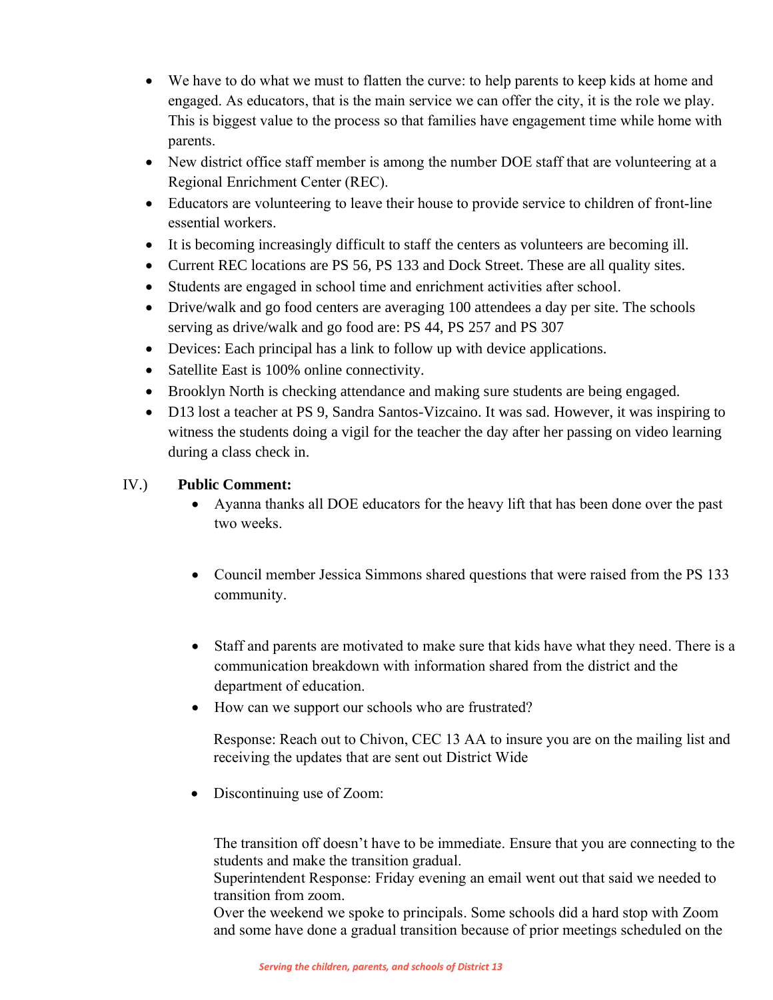- We have to do what we must to flatten the curve: to help parents to keep kids at home and engaged. As educators, that is the main service we can offer the city, it is the role we play. This is biggest value to the process so that families have engagement time while home with parents.
- New district office staff member is among the number DOE staff that are volunteering at a Regional Enrichment Center (REC).
- Educators are volunteering to leave their house to provide service to children of front-line essential workers.
- It is becoming increasingly difficult to staff the centers as volunteers are becoming ill.
- Current REC locations are PS 56, PS 133 and Dock Street. These are all quality sites.
- Students are engaged in school time and enrichment activities after school.
- Drive/walk and go food centers are averaging 100 attendees a day per site. The schools serving as drive/walk and go food are: PS 44, PS 257 and PS 307
- Devices: Each principal has a link to follow up with device applications.
- Satellite East is 100% online connectivity.
- Brooklyn North is checking attendance and making sure students are being engaged.
- D13 lost a teacher at PS 9, Sandra Santos-Vizcaino. It was sad. However, it was inspiring to witness the students doing a vigil for the teacher the day after her passing on video learning during a class check in.

# IV.) **Public Comment:**

- Ayanna thanks all DOE educators for the heavy lift that has been done over the past two weeks.
- Council member Jessica Simmons shared questions that were raised from the PS 133 community.
- Staff and parents are motivated to make sure that kids have what they need. There is a communication breakdown with information shared from the district and the department of education.
- How can we support our schools who are frustrated?

Response: Reach out to Chivon, CEC 13 AA to insure you are on the mailing list and receiving the updates that are sent out District Wide

• Discontinuing use of Zoom:

The transition off doesn't have to be immediate. Ensure that you are connecting to the students and make the transition gradual.

Superintendent Response: Friday evening an email went out that said we needed to transition from zoom.

Over the weekend we spoke to principals. Some schools did a hard stop with Zoom and some have done a gradual transition because of prior meetings scheduled on the